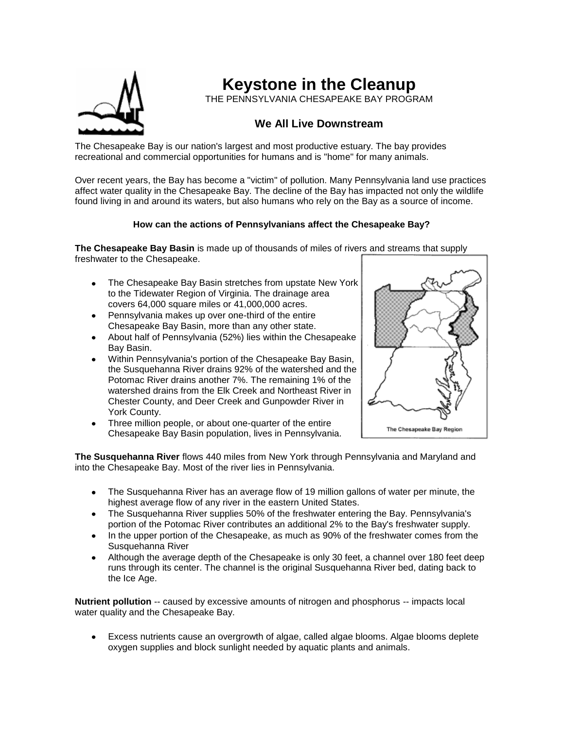

**Keystone in the Cleanup**

THE PENNSYLVANIA CHESAPEAKE BAY PROGRAM

## **We All Live Downstream**

The Chesapeake Bay is our nation's largest and most productive estuary. The bay provides recreational and commercial opportunities for humans and is "home" for many animals.

Over recent years, the Bay has become a "victim" of pollution. Many Pennsylvania land use practices affect water quality in the Chesapeake Bay. The decline of the Bay has impacted not only the wildlife found living in and around its waters, but also humans who rely on the Bay as a source of income.

## **How can the actions of Pennsylvanians affect the Chesapeake Bay?**

**The Chesapeake Bay Basin** is made up of thousands of miles of rivers and streams that supply freshwater to the Chesapeake.

- The Chesapeake Bay Basin stretches from upstate New York to the Tidewater Region of Virginia. The drainage area covers 64,000 square miles or 41,000,000 acres.
- Pennsylvania makes up over one-third of the entire Chesapeake Bay Basin, more than any other state.
- About half of Pennsylvania (52%) lies within the Chesapeake Bay Basin.
- Within Pennsylvania's portion of the Chesapeake Bay Basin, the Susquehanna River drains 92% of the watershed and the Potomac River drains another 7%. The remaining 1% of the watershed drains from the Elk Creek and Northeast River in Chester County, and Deer Creek and Gunpowder River in York County.
- Three million people, or about one-quarter of the entire Chesapeake Bay Basin population, lives in Pennsylvania.



**The Susquehanna River** flows 440 miles from New York through Pennsylvania and Maryland and into the Chesapeake Bay. Most of the river lies in Pennsylvania.

- The Susquehanna River has an average flow of 19 million gallons of water per minute, the highest average flow of any river in the eastern United States.
- The Susquehanna River supplies 50% of the freshwater entering the Bay. Pennsylvania's portion of the Potomac River contributes an additional 2% to the Bay's freshwater supply.
- In the upper portion of the Chesapeake, as much as 90% of the freshwater comes from the Susquehanna River
- Although the average depth of the Chesapeake is only 30 feet, a channel over 180 feet deep runs through its center. The channel is the original Susquehanna River bed, dating back to the Ice Age.

**Nutrient pollution** -- caused by excessive amounts of nitrogen and phosphorus -- impacts local water quality and the Chesapeake Bay.

Excess nutrients cause an overgrowth of algae, called algae blooms. Algae blooms deplete oxygen supplies and block sunlight needed by aquatic plants and animals.